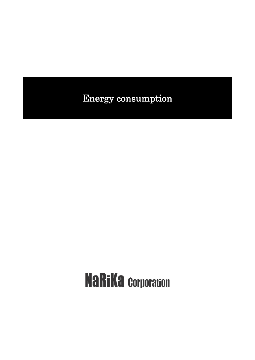# Energy consumption

# **NaRiKa Corporation**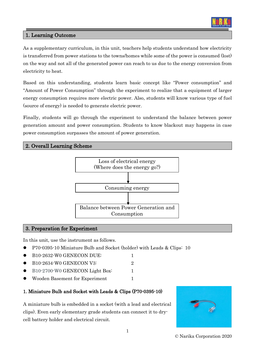

#### 1. Learning Outcome

As a supplementary curriculum, in this unit, teachers help students understand how electricity is transferred from power stations to the towns/homes while some of the power is consumed (lost) on the way and not all of the generated power can reach to us due to the energy conversion from electricity to heat.

Based on this understanding, students learn basic concept like "Power consumption" and "Amount of Power Consumption" through the experiment to realize that a equipment of larger energy consumption requires more electric power. Also, students will know various type of fuel (source of energy) is needed to generate electric power.

Finally, students will go through the experiment to understand the balance between power generation amount and power consumption. Students to know blackout may happens in case power consumption surpasses the amount of power generation.

#### 2. Overall Learning Scheme



#### 3. Preparation for Experiment

In this unit, use the instrument as follows.

- ⚫ P70-0395-10 Miniature Bulb and Socket (holder) with Leads & Clips: 10
- B10-2632-W0 GENECON DUE: 1
- B10-2634-W0 GENECON V3: 2
- B10-2700-W0 GENECON Light Box: 1
- Wooden Basement for Experiment 1

# 1. Miniature Bulb and Socket with Leads & Clips (P70-0395-10)

A miniature bulb is embedded in a socket (with a lead and electrical clips). Even early elementary grade students can connect it to drycell battery holder and electrical circuit.



© Narika Corporation 2020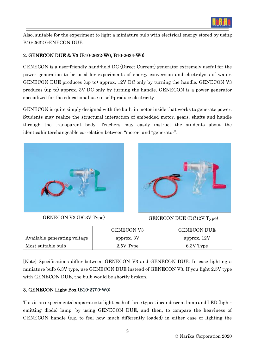

Also, suitable for the experiment to light a miniature bulb with electrical energy stored by using B10-2632 GENECON DUE.

# 2. GENECON DUE & V3 (B10-2632-W0, B10-2634-W0)

GENECON is a user-friendly hand-held DC (Direct Current) generator extremely useful for the power generation to be used for experiments of energy conversion and electrolysis of water. GENECON DUE produces (up to) approx. 12V DC only by turning the handle. GENECON V3 produces (up to) approx. 3V DC only by turning the handle. GENECON is a power generator specialized for the educational use to self-produce electricity.

GENECON is quite simply designed with the built-in motor inside that works to generate power. Students may realize the structural interaction of embedded motor, gears, shafts and handle through the transparent body. Teachers may easily instruct the students about the identical/interchangeable correlation between "motor" and "generator".





GENECON V3 (DC3V Type) GENECON DUE (DC12V Type)

|                              | <b>GENECON V3</b> | <b>GENECON DUE</b> |
|------------------------------|-------------------|--------------------|
| Available generating voltage | approx. 3V        | approx. 12V        |
| Most suitable bulb           | 2.5V Type         | 6.3V Type          |

[Note] Specifications differ between GENECON V3 and GENECON DUE. In case lighting a miniature bulb 6.3V type, use GENECON DUE instead of GENECON V3. If you light 2.5V type with GENECON DUE, the bulb would be shortly broken.

# 3. GENECON Light Box (B10-2700-W0)

This is an experimental apparatus to light each of three types; incandescent lamp and LED (lightemitting diode) lamp, by using GENECON DUE, and then, to compare the heaviness of GENECON handle (e.g. to feel how much differently loaded) in either case of lighting the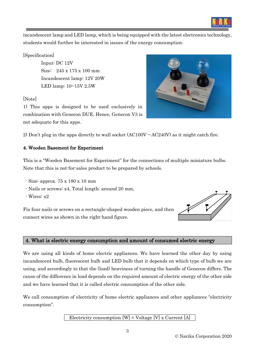

incandescent lamp and LED lamp, which is being equipped with the latest electronics technology, students would further be interested in issues of the energy consumption.

#### [Specification]

Input: DC 12V Size: 245 x 175 x 100 mm Incandescent lamp: 12V 20W LED lamp: 10~15V 2.5W

# [Note]

1) This apps is designed to be used exclusively in combination with Genecon DUE. Hence, Genecon V3 is not adequate for this apps.



# 4. Wooden Basement for Experiment

This is a "Wooden Basement for Experiment" for the connections of multiple miniature bulbs. Note that this is not-for-sales product to be prepared by schools.

- Size: approx. 75 x 180 x 10 mm
- Nails or screws: x4, Total length: around 20 mm,
- Wires: x2

Fix four nails or screws on a rectangle-shaped wooden piece, and then connect wires as shown in the right-hand figure.



# 4. What is electric energy consumption and amount of consumed electric energy

We are using all kinds of home electric appliances. We have learned the other day by using incandescent bulb, fluorescent bulb and LED bulb that it depends on which type of bulb we are using, and accordingly to that the (load) heaviness of turning the handle of Genecon differs. The cause of the difference in load depends on the required amount of electric energy of the other side and we have learned that it is called electric consumption of the other side.

We call consumption of electricity of home electric appliances and other appliances "electricity" consumption".

Electricity consumption  $[W]$  = Voltage  $[V]$  x Current  $[A]$ 

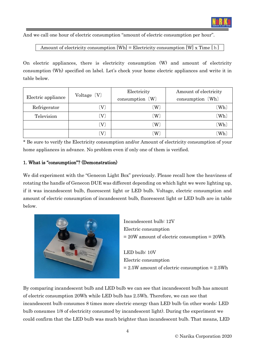

And we call one hour of electric consumption "amount of electric consumption per hour".

Amount of electricity consumption  $[Wh] =$  Electricity consumption  $[W]$  x Time  $[h]$ 

On electric appliances, there is electricity consumption (W) and amount of electricity consumption (Wh) specified on label. Let's check your home electric appliances and write it in table below.

|                    |                            | Electricity                | Amount of electricity |  |
|--------------------|----------------------------|----------------------------|-----------------------|--|
| Electric appliance | Voltage [V]                | consumption [W]            | consumption (Wh)      |  |
| Refrigerator       | $\lceil \mathrm{V} \rceil$ | $\left( \mathrm{W}\right)$ | $(\mathrm{Wh})$       |  |
| Television         | $\rm (V)$                  | (W)                        | $(\mathrm{Wh})$       |  |
|                    | $\left( \mathrm{V}\right)$ | (W)                        | (Wh)                  |  |
|                    | $\mathbf{V}$               | W)                         | 〔Wh〕                  |  |

\* Be sure to verify the Electricity consumption and/or Amount of electricity consumption of your home appliances in advance. No problem even if only one of them is verified.

#### 1. What is "consumption"? (Demonstration)

We did experiment with the "Genecon Light Box" previously. Please recall how the heaviness of rotating the handle of Genecon DUE was different depending on which light we were lighting up, if it was incandescent bulb, fluorescent light or LED bulb. Voltage, electric consumption and amount of electric consumption of incandescent bulb, fluorescent light or LED bulb are in table below.



Incandescent bulb: 12V Electric consumption = 20W amount of electric consumption = 20Wh

LED bulb: 10V Electric consumption = 2.5W amount of electric consumption = 2.5Wh

By comparing incandescent bulb and LED bulb we can see that incandescent bulb has amount of electric consumption 20Wh while LED bulb has 2.5Wh. Therefore, we can see that incandescent bulb consumes 8 times more electric energy than LED bulb (in other words: LED bulb consumes 1/8 of electricity consumed by incandescent light). During the experiment we could confirm that the LED bulb was much brighter than incandescent bulb. That means, LED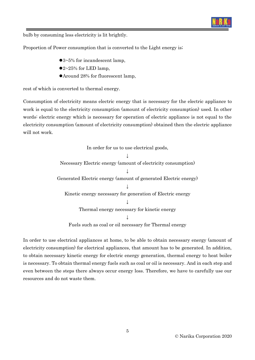

bulb by consuming less electricity is lit brightly.

Proportion of Power consumption that is converted to the Light energy is;

- ⚫3~5% for incandescent lamp,
- $\bullet$  2~25% for LED lamp,
- ⚫Around 28% for fluorescent lamp,

rest of which is converted to thermal energy.

Consumption of electricity means electric energy that is necessary for the electric appliance to work is equal to the electricity consumption (amount of electricity consumption) used. In other words: electric energy which is necessary for operation of electric appliance is not equal to the electricity consumption (amount of electricity consumption) obtained then the electric appliance will not work.

> In order for us to use electrical goods, ↓ Necessary Electric energy (amount of electricity consumption)  $\perp$ Generated Electric energy (amount of generated Electric energy) ↓ Kinetic energy necessary for generation of Electric energy ↓ Thermal energy necessary for kinetic energy ↓

Fuels such as coal or oil necessary for Thermal energy

In order to use electrical appliances at home, to be able to obtain necessary energy (amount of electricity consumption) for electrical appliances, that amount has to be generated. In addition, to obtain necessary kinetic energy for electric energy generation, thermal energy to heat boiler is necessary. To obtain thermal energy fuels such as coal or oil is necessary. And in each step and even between the steps there always occur energy loss. Therefore, we have to carefully use our resources and do not waste them.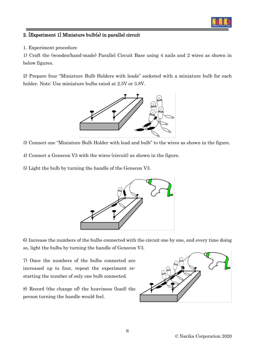

#### 2. [Experiment 1] Miniature bulb(s) in parallel circuit

1. Experiment procedure

1) Craft the (wooden/hand-made) Parallel Circuit Base using 4 nails and 2 wires as shown in below figures.

2) Prepare four "Miniature Bulb Holders with leads" socketed with a miniature bulb for each holder. Note: Use miniature bulbs rated at 2.5V or 3.8V.



- 3) Connect one "Miniature Bulb Holder with lead and bulb" to the wires as shown in the figure.
- 4) Connect a Genecon V3 with the wires (circuit) as shown in the figure.
- 5) Light the bulb by turning the handle of the Genecon V3.



6) Increase the numbers of the bulbs connected with the circuit one by one, and every time doing so, light the bulbs by turning the handle of Genecon V3.

7) Once the numbers of the bulbs connected are increased up to four, repeat the experiment restarting the number of only one bulb connected.

8) Record (the change of) the heaviness (load) the person turning the handle would feel.

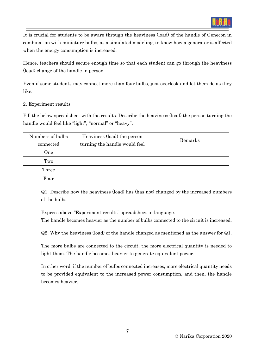

It is crucial for students to be aware through the heaviness (load) of the handle of Genecon in combination with miniature bulbs, as a simulated modeling, to know how a generator is affected when the energy consumption is increased.

Hence, teachers should secure enough time so that each student can go through the heaviness (load) change of the handle in person.

Even if some students may connect more than four bulbs, just overlook and let them do as they like.

#### 2. Experiment results

Fill the below spreadsheet with the results. Describe the heaviness (load) the person turning the handle would feel like "light", "normal" or "heavy".

| Numbers of bulbs | Heaviness (load) the person   | Remarks |  |
|------------------|-------------------------------|---------|--|
| connected        | turning the handle would feel |         |  |
| One              |                               |         |  |
| Two              |                               |         |  |
| Three            |                               |         |  |
| Four             |                               |         |  |

Q1. Describe how the heaviness (load) has (has not) changed by the increased numbers of the bulbs.

Express above "Experiment results" spreadsheet in language.

The handle becomes heavier as the number of bulbs connected to the circuit is increased.

Q2. Why the heaviness (load) of the handle changed as mentioned as the answer for Q1.

The more bulbs are connected to the circuit, the more electrical quantity is needed to light them. The handle becomes heavier to generate equivalent power.

In other word, if the number of bulbs connected increases, more electrical quantity needs to be provided equivalent to the increased power consumption, and then, the handle becomes heavier.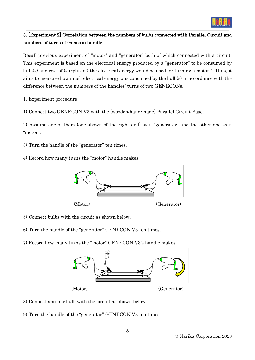

# 3. [Experiment 2] Correlation between the numbers of bulbs connected with Parallel Circuit and numbers of turns of Genecon handle

Recall previous experiment of "motor" and "generator" both of which connected with a circuit. This experiment is based on the electrical energy produced by a "generator" to be consumed by bulb(s) and rest of (surplus of) the electrical energy would be used for turning a motor ". Thus, it aims to measure how much electrical energy was consumed by the bulb(s) in accordance with the difference between the numbers of the handles' turns of two GENECONs.

1. Experiment procedure

1) Connect two GENECON V3 with the (wooden/hand-made) Parallel Circuit Base.

2) Assume one of them (one shown of the right end) as a "generator" and the other one as a "motor".

3) Turn the handle of the "generator" ten times.

4) Record how many turns the "motor" handle makes.



5) Connect bulbs with the circuit as shown below.

- 6) Turn the handle of the "generator" GENECON V3 ten times.
- 7) Record how many turns the "motor" GENECON V3's handle makes.



8) Connect another bulb with the circuit as shown below.

9) Turn the handle of the "generator" GENECON V3 ten times.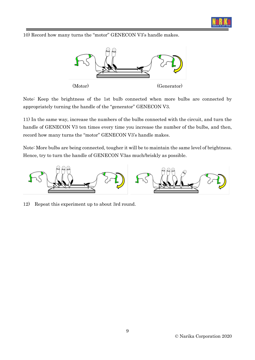

10) Record how many turns the "motor" GENECON V3's handle makes.



Note: Keep the brightness of the 1st bulb connected when more bulbs are connected by appropriately turning the handle of the "generator" GENECON V3.

11) In the same way, increase the numbers of the bulbs connected with the circuit, and turn the handle of GENECON V3 ten times every time you increase the number of the bulbs, and then, record how many turns the "motor" GENECON V3's handle makes.

Note: More bulbs are being connected, tougher it will be to maintain the same level of brightness. Hence, try to turn the handle of GENECON V3as much/briskly as possible.



12) Repeat this experiment up to about 3rd round.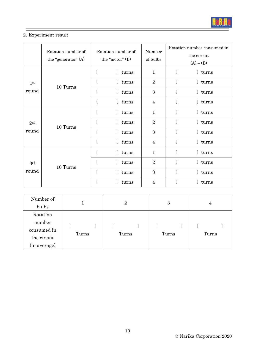

# 2. Experiment result

|                                      | Rotation number of<br>the "generator" (A) | Rotation number of<br>the "motor" (B) |         | Number<br>of bulbs | Rotation number consumed in<br>the circuit<br>$(A) - (B)$ |                        |
|--------------------------------------|-------------------------------------------|---------------------------------------|---------|--------------------|-----------------------------------------------------------|------------------------|
| 1 <sup>st</sup><br>10 Turns<br>round |                                           | t                                     | turns   | $\mathbf{1}$       |                                                           | I turns                |
|                                      |                                           | t.                                    | ] turns | $\overline{2}$     |                                                           | I turns                |
|                                      |                                           |                                       | turns   | 3                  |                                                           | I turns                |
|                                      |                                           |                                       | turns   | $\overline{4}$     |                                                           | turns                  |
| 2 <sub>nd</sub><br>round             |                                           |                                       | ] turns | $\mathbf{1}$       |                                                           | I turns                |
|                                      | 10 Turns                                  | $\mathsf{L}$                          | eturns  | $\overline{2}$     |                                                           | turns                  |
|                                      |                                           | t.                                    | ] turns | 3                  |                                                           | I turns                |
|                                      |                                           |                                       | turns   | $\overline{4}$     |                                                           | I turns                |
| 3 <sup>rd</sup><br>round             | 10 Turns                                  | t                                     | turns   | $\mathbf{1}$       |                                                           | $\mathcal{L}$<br>turns |
|                                      |                                           | t                                     | turns   | $\overline{2}$     |                                                           | I turns                |
|                                      |                                           |                                       | turns   | 3                  |                                                           | I turns                |
|                                      |                                           |                                       | turns   | 4                  |                                                           | J turns                |

| Number of    |       | $\overline{2}$ | 3     | 4     |  |
|--------------|-------|----------------|-------|-------|--|
| bulbs        |       |                |       |       |  |
| Rotation     |       |                |       |       |  |
| number       |       |                |       |       |  |
| consumed in  |       |                |       |       |  |
| the circuit  | Turns | Turns          | Turns | Turns |  |
| (in average) |       |                |       |       |  |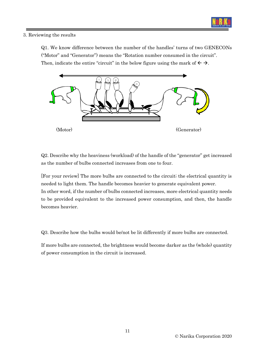

#### 3. Reviewing the results

Q1. We know difference between the number of the handles' turns of two GENECONs ("Motor" and "Generator") means the "Rotation number consumed in the circuit". Then, indicate the entire "circuit" in the below figure using the mark of  $\leftarrow \rightarrow$ .



Q2. Describe why the heaviness (workload) of the handle of the "generator" get increased as the number of bulbs connected increases from one to four.

[For your review] The more bulbs are connected to the circuit; the electrical quantity is needed to light them. The handle becomes heavier to generate equivalent power. In other word, if the number of bulbs connected increases, more electrical quantity needs to be provided equivalent to the increased power consumption, and then, the handle becomes heavier.

Q3. Describe how the bulbs would be/not be lit differently if more bulbs are connected.

If more bulbs are connected, the brightness would become darker as the (whole) quantity of power consumption in the circuit is increased.